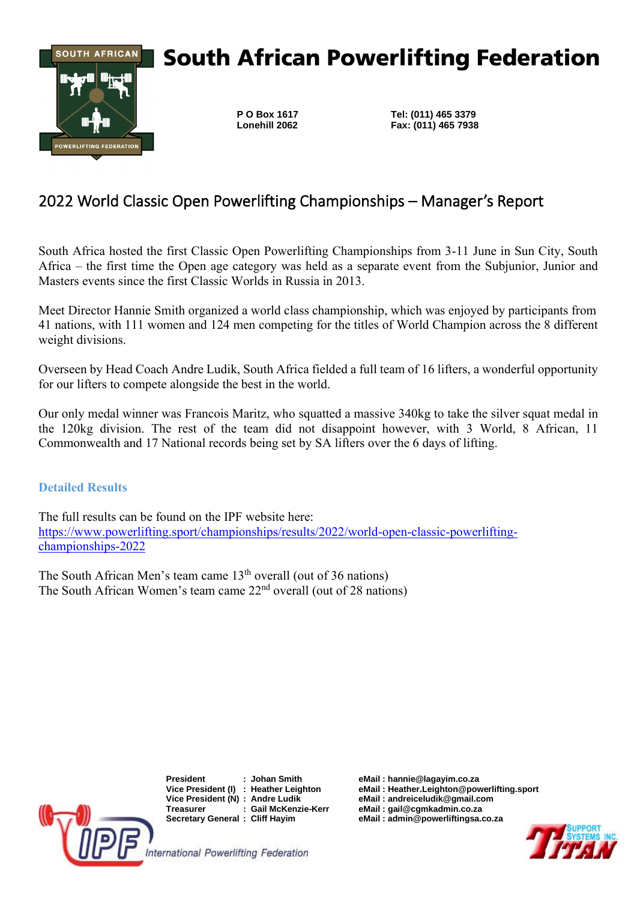

# **South African Powerlifting Federation**

**P O Box 1617 Tel: (011) 465 3379 Lonehill 2062 Fax: (011) 465 7938**

## 2022 World Classic Open Powerlifting Championships – Manager's Report

South Africa hosted the first Classic Open Powerlifting Championships from 3-11 June in Sun City, South Africa – the first time the Open age category was held as a separate event from the Subjunior, Junior and Masters events since the first Classic Worlds in Russia in 2013.

Meet Director Hannie Smith organized a world class championship, which was enjoyed by participants from 41 nations, with 111 women and 124 men competing for the titles of World Champion across the 8 different weight divisions.

Overseen by Head Coach Andre Ludik, South Africa fielded a full team of 16 lifters, a wonderful opportunity for our lifters to compete alongside the best in the world.

Our only medal winner was Francois Maritz, who squatted a massive 340kg to take the silver squat medal in the 120kg division. The rest of the team did not disappoint however, with 3 World, 8 African, 11 Commonwealth and 17 National records being set by SA lifters over the 6 days of lifting.

**Detailed Results**

The full results can be found on the IPF website here: [https://www.powerlifting.sport/championships/results/2022/world-open-classic-powerlifting](https://www.powerlifting.sport/championships/results/2022/world-open-classic-powerlifting-championships-2022)[championships-2022](https://www.powerlifting.sport/championships/results/2022/world-open-classic-powerlifting-championships-2022)

The South African Men's team came 13<sup>th</sup> overall (out of 36 nations) The South African Women's team came  $22<sup>nd</sup>$  overall (out of 28 nations)



**President : Johan Smith eMail : hannie@lagayim.co.za**  $Vice President (N) : Andre Ludik$ **Treasurer : Gail McKenzie-Kerr eMail : gail@cgmkadmin.co.za**

**eMail** : Heather.Leighton@powerlifting.sport<br>eMail : andreiceludik@gmail.com

**Secretary General : Cliff Hayim eMail : admin@powerliftingsa.co.za**

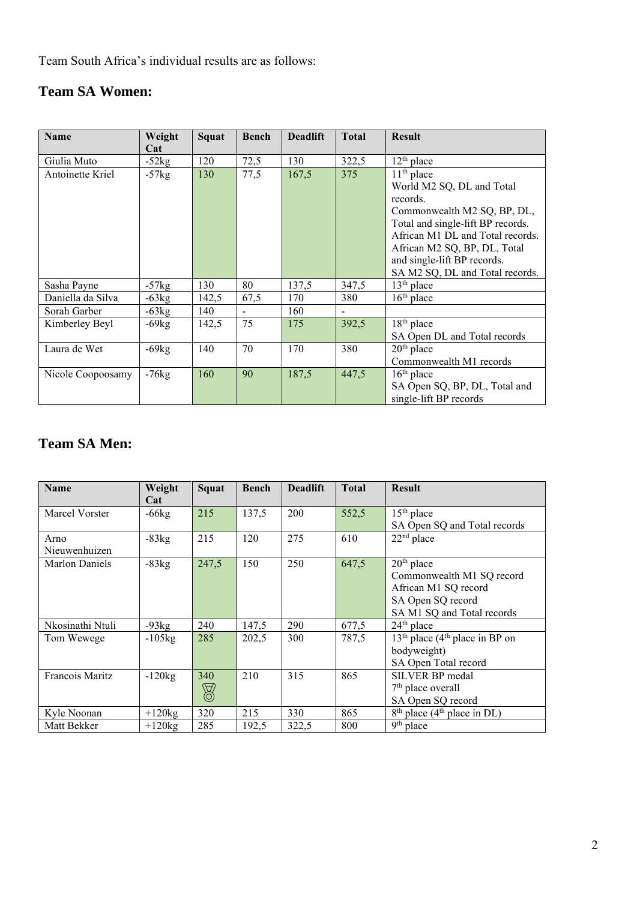Team South Africa's individual results are as follows:

### **Team SA Women:**

| <b>Name</b>       | Weight  | <b>Squat</b> | <b>Bench</b>   | <b>Deadlift</b> | <b>Total</b> | <b>Result</b>                                                  |
|-------------------|---------|--------------|----------------|-----------------|--------------|----------------------------------------------------------------|
|                   | Cat     |              |                |                 |              |                                                                |
| Giulia Muto       | $-52kg$ | 120          | 72,5           | 130             | 322,5        | $12th$ place                                                   |
| Antoinette Kriel  | $-57kg$ | 130          | 77,5           | 167,5           | 375          | $11th$ place<br>World M2 SQ, DL and Total                      |
|                   |         |              |                |                 |              | records.                                                       |
|                   |         |              |                |                 |              | Commonwealth M2 SQ, BP, DL,                                    |
|                   |         |              |                |                 |              | Total and single-lift BP records.                              |
|                   |         |              |                |                 |              | African M1 DL and Total records.                               |
|                   |         |              |                |                 |              | African M2 SQ, BP, DL, Total                                   |
|                   |         |              |                |                 |              | and single-lift BP records.<br>SA M2 SQ, DL and Total records. |
| Sasha Payne       | $-57kg$ | 130          | 80             | 137,5           | 347,5        | $13th$ place                                                   |
| Daniella da Silva | $-63kg$ | 142,5        | 67,5           | 170             | 380          | $16th$ place                                                   |
| Sorah Garber      | $-63kg$ | 140          | $\blacksquare$ | 160             |              |                                                                |
| Kimberley Beyl    | $-69kg$ | 142,5        | 75             | 175             | 392,5        | $18th$ place                                                   |
|                   |         |              |                |                 |              | SA Open DL and Total records                                   |
| Laura de Wet      | $-69kg$ | 140          | 70             | 170             | 380          | $20th$ place                                                   |
|                   |         |              |                |                 |              | Commonwealth M1 records                                        |
| Nicole Coopoosamy | $-76kg$ | 160          | 90             | 187,5           | 447,5        | $16th$ place                                                   |
|                   |         |              |                |                 |              | SA Open SQ, BP, DL, Total and                                  |
|                   |         |              |                |                 |              | single-lift BP records                                         |

#### **Team SA Men:**

| <b>Name</b>           | Weight<br>Cat | Squat              | <b>Bench</b> | <b>Deadlift</b> | <b>Total</b> | <b>Result</b>                                                                                                        |
|-----------------------|---------------|--------------------|--------------|-----------------|--------------|----------------------------------------------------------------------------------------------------------------------|
| Marcel Vorster        | $-66kg$       | 215                | 137,5        | 200             | 552,5        | $15th$ place<br>SA Open SQ and Total records                                                                         |
| Arno<br>Nieuwenhuizen | $-83kg$       | 215                | 120          | 275             | 610          | $22nd$ place                                                                                                         |
| Marlon Daniels        | $-83kg$       | 247,5              | 150          | 250             | 647,5        | $20th$ place<br>Commonwealth M1 SQ record<br>African M1 SQ record<br>SA Open SQ record<br>SA M1 SQ and Total records |
| Nkosinathi Ntuli      | $-93kg$       | 240                | 147,5        | 290             | 677,5        | $24th$ place                                                                                                         |
| Tom Wewege            | $-105$ kg     | 285                | 202,5        | 300             | 787,5        | $13th$ place (4 <sup>th</sup> place in BP on<br>bodyweight)<br>SA Open Total record                                  |
| Francois Maritz       | $-120$ kg     | 340<br>$\boxtimes$ | 210          | 315             | 865          | SILVER BP medal<br>$7th$ place overall<br>SA Open SQ record                                                          |
| Kyle Noonan           | $+120$ kg     | 320                | 215          | 330             | 865          | $8th$ place (4 <sup>th</sup> place in DL)                                                                            |
| Matt Bekker           | $+120kg$      | 285                | 192,5        | 322,5           | 800          | $9th$ place                                                                                                          |